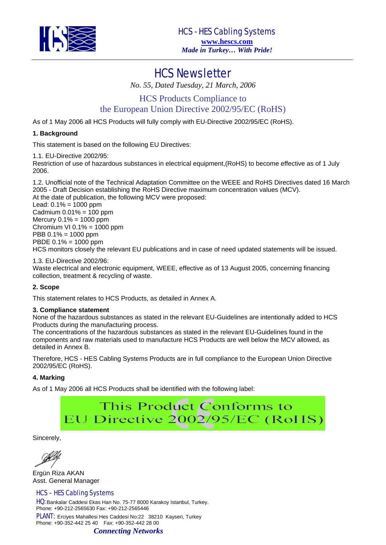

## HCS Newsletter

*No. 55, Dated Tuesday, 21 March, 2006* 

HCS Products Compliance to the European Union Directive 2002/95/EC (RoHS)

As of 1 May 2006 all HCS Products will fully comply with EU-Directive 2002/95/EC (RoHS).

## **1. Background**

This statement is based on the following EU Directives:

1.1. EU-Directive 2002/95:

Restriction of use of hazardous substances in electrical equipment,(RoHS) to become effective as of 1 July 2006.

1.2. Unofficial note of the Technical Adaptation Committee on the WEEE and RoHS Directives dated 16 March 2005 - Draft Decision establishing the RoHS Directive maximum concentration values (MCV). At the date of publication, the following MCV were proposed: Lead: 0.1% = 1000 ppm Cadmium  $0.01% = 100$  ppm Mercury  $0.1% = 1000$  ppm Chromium VI  $0.1% = 1000$  ppm

PBB 0.1% = 1000 ppm

PBDE 0.1% = 1000 ppm

HCS monitors closely the relevant EU publications and in case of need updated statements will be issued.

1.3. EU-Directive 2002/96: Waste electrical and electronic equipment, WEEE, effective as of 13 August 2005, concerning financing collection, treatment & recycling of waste.

### **2. Scope**

This statement relates to HCS Products, as detailed in Annex A.

### **3. Compliance statement**

None of the hazardous substances as stated in the relevant EU-Guidelines are intentionally added to HCS Products during the manufacturing process.

The concentrations of the hazardous substances as stated in the relevant EU-Guidelines found in the components and raw materials used to manufacture HCS Products are well below the MCV allowed, as detailed in Annex B.

Therefore, HCS - HES Cabling Systems Products are in full compliance to the European Union Directive 2002/95/EC (RoHS).

### **4. Marking**

As of 1 May 2006 all HCS Products shall be identified with the following label:

# This Product Conforms to EU Directive 2002/95/EC (RoHS)

Sincerely,

Ergün Riza AKAN Asst. General Manager

### HCS – HES Cabling Systems

HQ: Bankalar Caddesi Ekas Han No. 75-77 8000 Karakoy Istanbul, Turkey. Phone: +90-212-2565630 Fax: +90-212-2565446

PLANT: Erciyes Mahallesi Hes Caddesi No:22 38210 Kayseri, Turkey Phone: +90-352-442 25 40 Fax: +90-352-442 28 00

### *Connecting Networks*